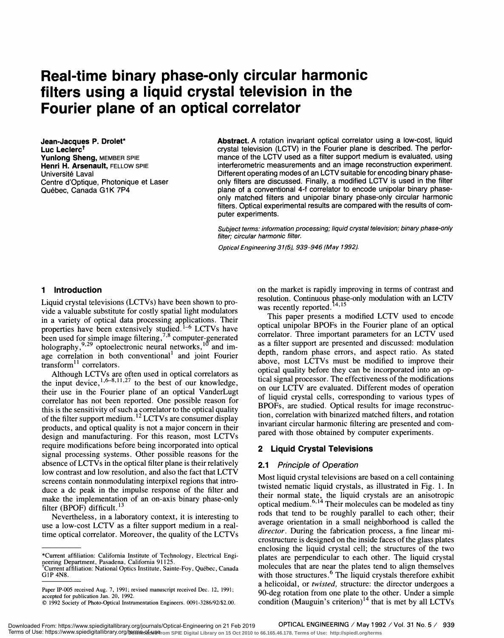# Real-time binary phase-only circular harmonic filters using a liquid crystal television in the Fourier plane of an optical correlator

Jean-Jacques P. Drolet\* Luc Leclerc<sup>t</sup> Yunlong Sheng, MEMBER SPIE Henri H. Arsenault, FELLOW SPIE Université Laval Centre d'Optique, Photonique et Laser Québec, Canada G1K 7P4

Abstract. A rotation invariant optical correlator using a low-cost, liquid crystal television (LCTV) in the Fourier plane is described. The performance of the LCTV used as a filter support medium is evaluated, using interferometric measurements and an image reconstruction experiment. Different operating modes of an LCTV suitable for encoding binary phaseonly filters are discussed. Finally, a modified LCTV is used in the filter plane of a conventional 4-f correlator to encode unipolar binary phaseonly matched filters and unipolar binary phase-only circular harmonic filters. Optical experimental results are compared with the results of computer experiments.

Subject terms: information processing; liquid crystal television; binary phase-only filter; circular harmonic filter.

Optical Engineering 31(5), 939-946 (May 1992).

## 1 Introduction

Liquid crystal televisions (LCTVs) have been shown to provide a valuable substitute for costly spatial light modulators in a variety of optical data processing applications. Their properties have been extensively studied.<sup>1-6</sup> LCTVs have  $\frac{opuc}{com}$ been used for simple image filtering,<sup>79</sup> computer-generated holography,  $9,29$  optoelectronic neural networks,  $10$  and image correlation in both conventional<sup>1</sup> and joint Fourier  $transform<sup>11</sup> correlators.$ 

Although LCTVs are often used in optical correlators as  $\frac{opt}{time}$ the input device,  $1,6-8,11,27$  to the best of our knowledge, their use in the Fourier plane of an optical VanderLugt correlator has not been reported. One possible reason for this is the sensitivity of such a correlator to the optical quality of the filter support medium.<sup>12</sup> LCTVs are consumer display products, and optical quality is not a major concern in their design and manufacturing. For this reason, most LCTVs require modifications before being incorporated into optical signal processing systems. Other possible reasons for the absence of LCTVs in the optical filter plane is their relatively low contrast and low resolution, and also the fact that LCTV screens contain nonmodulating interpixel regions that introduce a dc peak in the impulse response of the filter and make the implementation of an on-axis binary phase-only filter (BPOF) difficult.<sup>13</sup>

Nevertheless, in a laboratory context, it is interesting to use a low-cost LCTV as a filter support medium in a realtime optical correlator. Moreover, the quality of the LCTVs on the market is rapidly improving in terms of contrast and resolution. Continuous phase-only modulation with an LCTV was recently reported.  $14,15$ 

This paper presents a modified LCTV used to encode optical unipolar BPOFs in the Fourier plane of an optical correlator. Three important parameters for an LCTV used as a filter support are presented and discussed: modulation depth, random phase errors, and aspect ratio. As stated above, most LCTVs must be modified to improve their optical quality before they can be incorporated into an optical signal processor. The effectiveness of the modifications on our LCTV are evaluated. Different modes of operation of liquid crystal cells, corresponding to various types of BPOFs, are studied. Optical results for image reconstruction, correlation with binarized matched filters, and rotation invariant circular harmonic filtering are presented and compared with those obtained by computer experiments.

## 2 Liquid Crystal Televisions

#### 2.1 Principle of Operation

Most liquid crystal televisions are based on a cell containing twisted nematic liquid crystals, as illustrated in Fig. 1. In their normal state, the liquid crystals are an anisotropic optical medium. $6,14$  Their molecules can be modeled as tiny rods that tend to be roughly parallel to each other; their average orientation in a small neighborhood is called the director. During the fabrication process, a fine linear microstructure is designed on the inside faces of the glass plates enclosing the liquid crystal cell; the structures of the two plates are perpendicular to each other. The liquid crystal molecules that are near the plates tend to align themselves with those structures.<sup>6</sup> The liquid crystals therefore exhibit a helicoidal, or twisted, structure: the director undergoes a 90-deg rotation from one plate to the other. Under a simple condition (Mauguin's criterion)<sup>14</sup> that is met by all LCTVs

<sup>\*</sup>Cunent affiliation: California Institute of Technology, Electrical Engineering Department, Pasadena, California 91125.<br><sup>†</sup>Current affiliation: National Optics Institute, Sainte-Foy, Québec, Canada <sup>m</sup>

G1P 4N8.

Paper IP-005 received Aug. 7, 1991; revised manuscript received Dec. 12, 1991; accepted for publication Jan. 20, 1992.

<sup>1992</sup> Society of Photo-Optical Instrumentation Engineers. 0091-3286/92/\$2.00.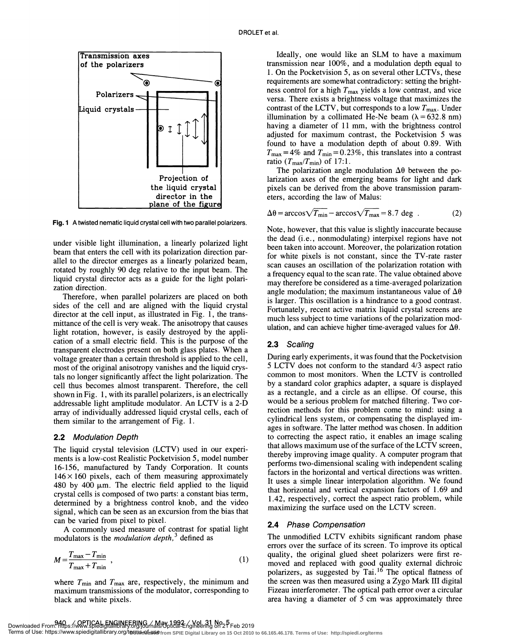

Fig. 1 A twisted nematic liquid crystal cell with two parallel polarizers.

under visible light illumination, a linearly polarized light beam that enters the cell with its polarization direction parallel to the director emerges as a linearly polarized beam, rotated by roughly 90 deg relative to the input beam. The liquid crystal director acts as a guide for the light polarization direction.

Therefore, when parallel polarizers are placed on both sides of the cell and are aligned with the liquid crystal director at the cell input, as illustrated in Fig. 1, the transmittance of the cell is very weak. The anisotropy that causes light rotation, however, is easily destroyed by the appli- cation of a small electric field. This is the purpose of the transparent electrodes present on both glass plates. When a voltage greater than a certain threshold is applied to the cell, most of the original anisotropy vanishes and the liquid crystals no longer significantly affect the light polarization. The cell thus becomes almost transparent. Therefore, the cell shown in Fig. 1, with its parallel polarizers, is an electrically addressable light amplitude modulator. An LCTV is a 2-D array of individually addressed liquid crystal cells, each of them similar to the arrangement of Fig. 1.

## 2.2 Modulation Depth

The liquid crystal television (LCTV) used in our experiments is a low-cost Realistic Pocketvision 5 , model number 16-156, manufactured by Tandy Corporation. It counts  $146 \times 160$  pixels, each of them measuring approximately 480 by 400  $\mu$ m. The electric field applied to the liquid crystal cells is composed of two parts: a constant bias term, determined by a brightness control knob, and the video signal, which can be seen as an excursion from the bias that can be varied from pixel to pixel.

A commonly used measure of contrast for spatial light modulators is the *modulation depth*,<sup>3</sup> defined as

$$
M = \frac{T_{\text{max}} - T_{\text{min}}}{T_{\text{max}} + T_{\text{min}}} \tag{1}
$$

where  $T_{\text{min}}$  and  $T_{\text{max}}$  are, respectively, the minimum and maximum transmissions of the modulator, corresponding to black and white pixels.

Ideally, one would like an SLM to have a maximum transmission near 100%, and a modulation depth equal to 1 . On the Pocketvision 5, as on several other LCTVs, these requirements are somewhat contradictory: setting the brightness control for a high  $T_{\text{max}}$  yields a low contrast, and vice versa. There exists a brightness voltage that maximizes the contrast of the LCTV, but corresponds to a low  $T_{\text{max}}$ . Under illumination by a collimated He-Ne beam  $(\lambda = 632.8 \text{ nm})$ having a diameter of 11 mm, with the brightness control adjusted for maximum contrast, the Pocketvision 5 was found to have a modulation depth of about 0. 89. With  $T_{\text{max}} = 4\%$  and  $T_{\text{min}} = 0.23\%$ , this translates into a contrast ratio  $(T_{\text{max}}/T_{\text{min}})$  of 17:1.

The polarization angle modulation  $\Delta\theta$  between the polarization axes of the emerging beams for light and dark pixels can be derived from the above transmission parameters, according the law of Malus:

$$
\Delta \theta = \arccos\sqrt{T_{\text{min}}} - \arccos\sqrt{T_{\text{max}}} = 8.7 \text{ deg }.
$$
 (2)

Note, however, that this value is slightly inaccurate because the dead (i.e. , nonmodulating) interpixel regions have not been taken into account. Moreover, the polarization rotation for white pixels is not constant, since the TV-rate raster scan causes an oscillation of the polarization rotation with a frequency equal to the scan rate. The value obtained above may therefore be considered as a time-averaged polarization angle modulation; the maximum instantaneous value of  $\Delta\theta$ is larger. This oscillation is a hindrance to a good contrast. Fortunately, recent active matrix liquid crystal screens are much less subject to time variations of the polarization modulation, and can achieve higher time-averaged values for  $\Delta\theta$ .

## 2.3 Scaling

During early experiments, it was found that the Pocketvision 5 LCTV does not conform to the standard 4/3 aspect ratio common to most monitors. When the LCTV is controlled by a standard color graphics adapter, a square is displayed as a rectangle, and a circle as an ellipse. Of course, this would be a serious problem for matched filtering. Two correction methods for this problem come to mind: using a cylindrical lens system, or compensating the displayed images in software. The latter method was chosen. In addition to correcting the aspect ratio, it enables an image scaling that allows maximum use of the surface of the LCTV screen, thereby improving image quality. A computer program that performs two-dimensional scaling with independent scaling factors in the horizontal and vertical directions was written. It uses a simple linear interpolation algorithm. We found that horizontal and vertical expansion factors of 1 .69 and 1 .42, respectively, correct the aspect ratio problem, while maximizing the surface used on the LCTV screen.

## 2.4 Phase Compensation

The unmodified LCTV exhibits significant random phase errors over the surface of its screen. To improve its optical quality, the original glued sheet polarizers were first removed and replaced with good quality external dichroic (1) polarizers, as suggested by Tai.<sup>16</sup> The optical flatness of the screen was then measured using a Zygo Mark III digital Fizeau interferometer. The optical path error over a circular area having a diameter of 5 cm was approximately three

Downloaded From: https://www.spiedigitaliibhary.org/jou/nais/Optical-Engineering on 21 Feb 2019<br>Terms of Use: https://www.spiedigitallibrary.org/t**erms-rot-wse**from SPIE Digital Library on 15 Oct 2010 to 66.165.46.178. Te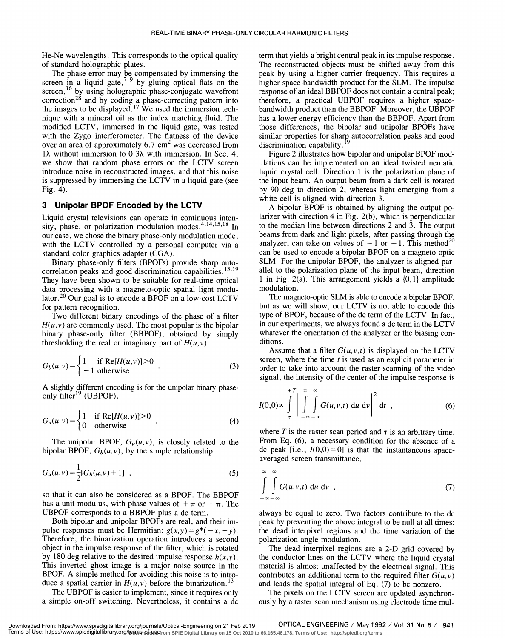He-Ne wavelengths. This corresponds to the optical quality of standard holographic plates.

The phase error may be compensated by immersing the  $\frac{1}{10}$  peak screen in a liquid gate,  $\frac{7-9}{9}$  by gluing optical flats on the higher screen,<sup>16</sup> by using holographic phase-conjugate wavefront correction<sup>26</sup> and by coding a phase-correcting pattern into there the images to be displayed.<sup>17</sup> We used the immersion technique with a mineral oil as the index matching fluid. The modified LCTV, immersed in the liquid gate, was tested with the Zygo interferometer. The flatness of the device over an area of approximately  $6.7 \text{ cm}^2$  was decreased from  $lλ$  without immersion to 0.3λ with immersion. In Sec. 4, we show that random phase errors on the LCTV screen introduce noise in reconstructed images , and that this noise is suppressed by immersing the LCTV in a liquid gate (see Fig. 4).

## 3 Unipolar BPOF Encoded by the LCTV

Liquid crystal televisions can operate in continuous intensity, phase, or polarization modulation modes. $4,14,15,18$  In our case, we chose the binary phase-only modulation mode, with the LCTV controlled by a personal computer via a standard color graphics adapter (CGA).<br>Binary phase-only filters (BPOFs) provide sharp auto-

correlation peaks and good discrimination capabilities.<sup>13,19</sup> They have been shown to be suitable for real-time optical data processing with a magneto-optic spatial light modulator.<sup>20</sup> Our goal is to encode a BPOF on a low-cost LCTV for pattern recognition.

Two different binary encodings of the phase of a filter  $H(u, v)$  are commonly used. The most popular is the bipolar binary phase-only filter (BBPOF), obtained by simply thresholding the real or imaginary part of  $H(u, v)$ :

$$
G_b(u,v) = \begin{cases} 1 & \text{if } \text{Re}[H(u,v)] > 0 \\ -1 & \text{otherwise} \end{cases}
$$
 (3)

A slightly different encoding is for the unipolar binary phaseonly  $\tilde{f}$ ilter<sup>19</sup> (UBPOF),

$$
G_u(u,v) = \begin{cases} 1 & \text{if } \text{Re}[H(u,v)] > 0 \\ 0 & \text{otherwise} \end{cases}
$$
 (4)

The unipolar BPOF,  $G_u(u, v)$ , is closely related to the bipolar BPOF,  $G_b(u, v)$ , by the simple relationship

$$
G_u(u,v) = \frac{1}{2} [G_b(u,v) + 1], \qquad (5)
$$

so that it can also be considered as a BPOF. The BBPOF has a unit modulus, with phase values of  $+\pi$  or  $-\pi$ . The UBPOF corresponds to a BBPOF plus a dc term.

Both bipolar and unipolar BPOFs are real, and their impulse responses must be Hermitian:  $g(x,y) = g^*(-x, -y)$ .<br>Therefore, the binarization operation introduces a second object in the impulse response of the filter, which is rotated by 180 deg relative to the desired impulse response  $h(x,y)$ . This inverted ghost image is a major noise source in the BPOF. A simple method for avoiding this noise is to introduce a spatial carrier in  $H(u, v)$  before the binarization.<sup>13</sup>

The UBPOF is easier to implement, since it requires only a simple on-off switching. Nevertheless, it contains a dc term that yields a bright central peak in its impulse response. The reconstructed objects must be shifted away from this peak by using a higher carrier frequency. This requires a higher space-bandwidth product for the SLM. The impulse response of an ideal BBPOF does not contain a central peak; therefore, a practical UBPOF requires a higher spacebandwidth product than the BBPOF. Moreover, the UBPOF has a lower energy efficiency than the BBPOF. Apart from those differences, the bipolar and unipolar BPOFs have similar properties for sharp autocorrelation peaks and good discrimination capability.

Figure 2 illustrates how bipolar and unipolar BPOF modulations can be implemented on an ideal twisted nematic liquid crystal cell. Direction 1 is the polarization plane of the input beam. An output beam from a dark cell is rotated by 90 deg to direction 2, whereas light emerging from a white cell is aligned with direction 3.

A bipolar BPOF is obtained by aligning the output polarizer with direction 4 in Fig.  $2(b)$ , which is perpendicular to the median line between directions 2 and 3. The output beams from dark and light pixels, after passing through the analyzer, can take on values of  $-1$  or  $+1$ . This method<sup>20</sup> can be used to encode a bipolar BPOF on a magneto-optic SLM. For the unipolar BPOF, the analyzer is aligned parallel to the polarization plane of the input beam, direction 1 in Fig. 2(a). This arrangement yields a  $\{0,1\}$  amplitude modulation.

The magneto-optic SLM is able to encode a bipolar BPOF, but as we will show, our LCTV is not able to encode this type of BPOF, because of the dc term of the LCTV. In fact, in our experiments , we always found a dc term in the LCTV whatever the orientation of the analyzer or the biasing conditions.

Assume that a filter  $G(u, v, t)$  is displayed on the LCTV screen, where the time  $t$  is used as an explicit parameter in order to take into account the raster scanning of the video signal, the intensity of the center of the impulse response is

$$
I(0,0) \propto \int_{\tau}^{\tau+T} \left| \int_{-\infty-\infty}^{\infty} \int_{-\infty}^{\infty} G(u,v,t) \, \mathrm{d}u \, \mathrm{d}v \right|^{2} \, \mathrm{d}t \quad , \tag{6}
$$

where  $T$  is the raster scan period and  $\tau$  is an arbitrary time. From Eq. (6), a necessary condition for the absence of a dc peak [i.e.,  $I(0,0) = 0$ ] is that the instantaneous spaceaveraged screen transmittance,

$$
\int_{-\infty}^{\infty} \int_{-\infty}^{\infty} G(u,v,t) \, \mathrm{d}u \, \mathrm{d}v \quad , \tag{7}
$$

always be equal to zero. Two factors contribute to the dc peak by preventing the above integral to be null at all times: the dead interpixel regions and the time variation of the polarization angle modulation.

The dead interpixel regions are a 2-D grid covered by the conductor lines on the LCTV where the liquid crystal material is almost unaffected by the electrical signal. This contributes an additional term to the required filter  $G(u, v)$ and leads the spatial integral of Eq. (7) to be nonzero.

The pixels on the LCTV screen are updated asynchronously by a raster scan mechanism using electrode time mu!-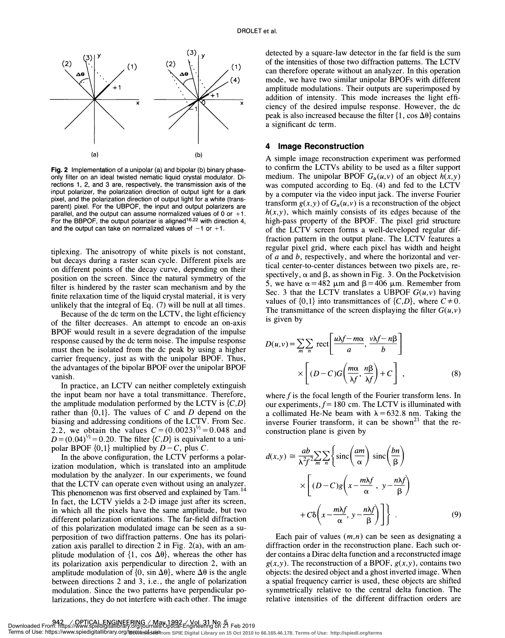

Fig. 2 Implementation of a unipolar (a) and bipolar (b) binary phase- only filter on an ideal twisted nematic liquid crystal modulator. Directions 1, 2, and 3 are, respectively, the transmission axis of the input polarizer, the polarization direction of output light for a dark pixel, and the polarization direction of output light for a white (transparent) pixel. For the UBPOF, the input and output polarizers are parallel, and the output can assume normalized values of 0 or  $+1$ . For the BBPOF, the output polarizer is aligned<sup>16,22</sup> with direction 4, and the output can take on normalized values of  $-1$  or  $+1$ .

tiplexing. The anisotropy of white pixels is not constant, but decays during a raster scan cycle. Different pixels are on different points of the decay curve, depending on their position on the screen. Since the natural symmetry of the filter is hindered by the raster scan mechanism and by the finite relaxation time of the liquid crystal material, it is very unlikely that the integral of Eq. (7) will be null at all times.

Because of the dc term on the LCTV, the light efficiency of the filter decreases . An attempt to encode an on-axis BPOF would result in a severe degradation of the impulse response caused by the dc term noise. The impulse response must then be isolated from the dc peak by using a higher carrier frequency, just as with the unipolar BPOF. Thus, the advantages of the bipolar BPOF over the unipolar BPOF vanish.

In practice, an LCTV can neither completely extinguish the input beam nor have a total transmittance. Therefore, the amplitude modulation performed by the LCTV is  $\{C,D\}$ rather than  $\{0, 1\}$ . The values of C and D depend on the biasing and addressing conditions of the LCTV. From Sec. 2.2, we obtain the values  $C = (0.0023)^{1/2} = 0.048$  and  $D = (0.04)^{1/2} = 0.20$ . The filter  $\{C, D\}$  is equivalent to a unipolar BPOF  $\{0,1\}$  multiplied by  $D - C$ , plus C.

In the above configuration, the LCTV performs a polarization modulation, which is translated into an amplitude modulation by the analyzer. In our experiments, we found that the LCTV can operate even without using an analyzer. This phenomenon was first observed and explained by Tam.<sup>14</sup> In fact, the LCTV yields a 2-D image just after its screen, in which all the pixels have the same amplitude, but two different polarization orientations. The far-field diffraction of this polarization modulated image can be seen as a superposition of two diffraction patterns . One has its polarization axis parallel to direction 2 in Fig. 2(a), with an amplitude modulation of  $\{1, \cos \Delta\theta\}$ , whereas the other has its polarization axis perpendicular to direction 2, with an amplitude modulation of  $\{0, \sin \Delta \theta\}$ , where  $\Delta \theta$  is the angle between directions 2 and 3, i.e. , the angle of polarization modulation. Since the two patterns have perpendicular polarizations, they do not interfere with each other. The image

x detected by a square-law detector in the far field is the sum of the intensities of those two diffraction patterns. The LCTV can therefore operate without an analyzer. In this operation mode, we have two similar unipolar BPOFs with different amplitude modulations. Their outputs are superimposed by addition of intensity. This mode increases the light effipeak is also increased because the filter  $\{1, \cos \Delta \theta\}$  contains a significant dc term.

#### 4 Image Reconstruction

is given by to confirm the LCTVs ability to be used as a filter support medium. The unipolar BPOF  $G_u(u, v)$  of an object  $h(x, y)$ was computed according to Eq. (4) and fed to the LCTV by a computer via the video input jack. The inverse Fourier transform  $g(x, y)$  of  $G_u(u, v)$  is a reconstruction of the object  $h(x, y)$ , which mainly consists of its edges because of the high-pass property of the BPOF. The pixel grid structure of the LCTV screen forms a well-developed regular diffraction pattern in the output plane. The LCTV features a regular pixel grid, where each pixel has width and height of  $a$  and  $b$ , respectively, and where the horizontal and vertical center-to-center distances between two pixels are, respectively,  $\alpha$  and  $\beta$ , as shown in Fig. 3. On the Pocketvision 5, we have  $\alpha = 482 \mu m$  and  $\beta = 406 \mu m$ . Remember from Sec. 3 that the LCTV translates a UBPOF  $G(u, v)$  having values of  $\{0,1\}$  into transmittances of  $\{C,D\}$ , where  $C \neq 0$ . The transmittance of the screen displaying the filter  $G(u, v)$ 

$$
D(u, v) = \sum_{m} \sum_{n} \text{rect}\left[\frac{u\lambda f - m\alpha}{a}, \frac{v\lambda f - n\beta}{b}\right]
$$

$$
\times \left[ (D - C)G\left(\frac{m\alpha}{\lambda f}, \frac{n\beta}{\lambda f}\right) + C \right],
$$
 (8)

where  $f$  is the focal length of the Fourier transform lens. In our experiments,  $f= 180$  cm. The LCTV is illuminated with a collimated He-Ne beam with  $\lambda = 632.8$  nm. Taking the inverse Fourier transform, it can be shown<sup>21</sup> that the reconstruction plane is given by

$$
d(x,y) \approx \frac{ab}{\lambda^2 f^2} \sum_{m} \sum_{n} \left\{ \text{sinc}\left(\frac{am}{\alpha}\right) \text{sinc}\left(\frac{bn}{\beta}\right) \times \left[ (D-C)g \left( x - \frac{m\lambda f}{\alpha}, y - \frac{n\lambda f}{\beta} \right) + C\delta \left( x - \frac{m\lambda f}{\alpha}, y - \frac{n\lambda f}{\beta} \right) \right] \right\}.
$$
 (9)

Each pair of values  $(m, n)$  can be seen as designating a diffraction order in the reconstruction plane. Each such order contains a Dirac delta function and a reconstructed image  $g(x, y)$ . The reconstruction of a BPOF,  $g(x, y)$ , contains two objects: the desired object and a ghost inverted image. When a spatial frequency carrier is used, these objects are shifted symmetrically relative to the central delta function. The relative intensities of the different diffraction orders are

Terms of Use: https://www.spiedigitallibrary.org/terms<del>i</del>ofideserrom SPIE Digital Library on 15 Oct 2010 to 66.165.46.178. Terms of Use: http://spiedl.org/terms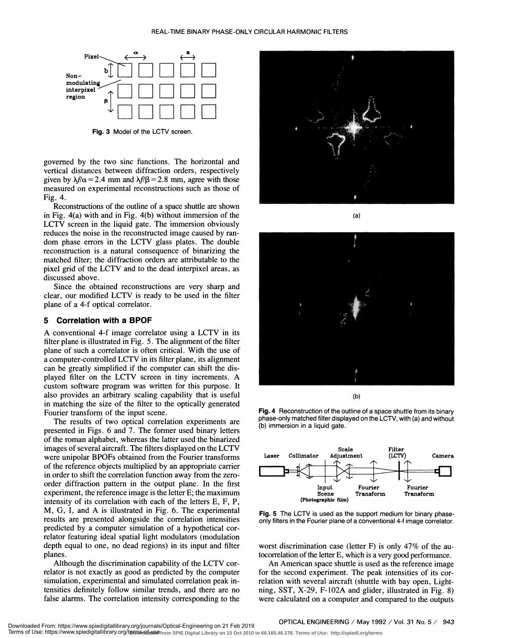

Fig. 3 Model of the LCTV screen.

governed by the two sine functions . The horizontal and vertical distances between diffraction orders, respectively given by  $\lambda f/\alpha = 2.4$  mm and  $\lambda f/\beta = 2.8$  mm, agree with those measured on experimental reconstructions such as those of Fig. 4.

Reconstructions of the outline of a space shuttle are shown in Fig. 4(a) with and in Fig. 4(b) without immersion of the LCTV screen in the liquid gate. The immersion obviously reduces the noise in the reconstructed image caused by random phase errors in the LCTV glass plates. The double reconstruction is a natural consequence of binarizing the matched filter; the diffraction orders are attributable to the pixel grid of the LCTV and to the dead interpixel areas, as discussed above.

Since the obtained reconstructions are very sharp and clear, our modified LCTV is ready to be used in the filter plane of a 4-f optical correlator.

#### 5 Correlation with a BPOF

A conventional 4-f image correlator using a LCTV in its filter plane is illustrated in Fig. 5. The alignment of the filter plane of such a correlator is often critical. With the use of a computer-controlled LCTV in its filter plane, its alignment can be greatly simplified if the computer can shift the displayed filter on the LCTV screen in tiny increments. A custom software program was written for this purpose. It also provides an arbitrary scaling capability that is useful in matching the size of the filter to the optically generated Fourier transform of the input scene.

The results of two optical correlation experiments are presented in Figs. 6 and 7. The former used binary letters of the roman alphabet, whereas the latter used the binarized images of several aircraft. The filters displayed on the LCTV<br>were unipolar BPOEs obtained from the Fourier transforms Laser Collimator were unipolar BPOFs obtained from the Fourier transforms Laser of the reference objects multiplied by an appropriate carrier in order to shift the correlation function away from the zeroorder diffraction pattern in the output plane. In the first experiment, the reference image is the letter E; the maximum intensity of its correlation with each of the letters E, F, P, M, G, I, and A is illustrated in Fig. 6. The experimental results are presented alongside the correlation intensities predicted by a computer simulation of a hypothetical correlator featuring ideal spatial light modulators (modulation depth equal to one, no dead regions) in its input and filter planes.

Although the discrimination capability of the LCTV correlator is not exactly as good as predicted by the computer simulation, experimental and simulated correlation peak intensities definitely follow similar trends, and there are no false alarms. The correlation intensity corresponding to the







(b)

Fig. 4 Reconstruction of the outline of a space shuttle from its binary phase-only matched filter displayed on the LCTV, with (a) and without (b) immersion in a liquid gate.



Fig. 5 The LCTV is used as the support medium for binary phaseonly filters in the Fourier plane of a conventional 4-f image correlator.

worst discrimination case (letter F) is only 47% of the autocorrelation of the letter E, which is a very good performance.

An American space shuttle is used as the reference image for the second experiment. The peak intensities of its correlation with several aircraft (shuttle with bay open, Lightning, SST, X-29, F-102A and glider, illustrated in Fig. 8) were calculated on a computer and compared to the outputs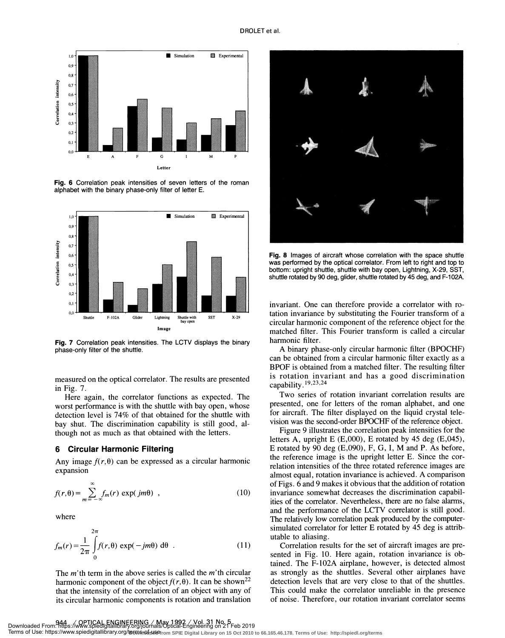

Fig. 6 Correlation peak intensities of seven letters of the roman alphabet with the binary phase-only filter of letter E.



Fig. 7 Correlation peak intensities. The LCTV displays the binary phase-only filter of the shuttle.

measured on the optical correlator. The results are presented in Fig. 7.

Here again, the correlator functions as expected. The worst performance is with the shuttle with bay open, whose detection level is 74% of that obtained for the shuttle with bay shut. The discrimination capability is still good, although not as much as that obtained with the letters.

## 6 Circular Harmonic Filtering

Any image  $f(r, \theta)$  can be expressed as a circular harmonic expansion

$$
f(r,\theta) = \sum_{m=-\infty}^{\infty} f_m(r) \exp(jm\theta) , \qquad (10)
$$

where

$$
f_m(r) = \frac{1}{2\pi} \int_{0}^{2\pi} f(r,\theta) \exp(-jm\theta) d\theta
$$
 (11)

The  $m'$  th term in the above series is called the  $m'$  th circular harmonic component of the object  $f(r, \theta)$ . It can be shown<sup>22</sup> that the intensity of the correlation of an object with any of its circular harmonic components is rotation and translation



Fig. 8 Images of aircraft whose correlation with the space shuttle was performed by the optical correlator. From left to right and top to bottom: upright shuttle, shuttle with bay open, Lightning, X-29, SST, shuttle rotated by 90 deg, glider, shuttle rotated by 45 deg, and F-102A.

invariant. One can therefore provide a correlator with rotation invariance by substituting the Fourier transform of a circular harmonic component of the reference object for the matched filter. This Fourier transform is called a circular harmonic filter.

A binary phase-only circular harmonic filter (BPOCHF) can be obtained from a circular harmonic filter exactly as a BPOF is obtained from a matched filter. The resulting filter is rotation invariant and has a good discrimination capability.<sup>19,23,24</sup>

Two series of rotation invariant correlation results are presented, one for letters of the roman alphabet, and one for aircraft. The filter displayed on the liquid crystal television was the second-order BPOCHF of the reference object.

Figure 9 illustrates the correlation peak intensities for the letters A, upright E  $(E,000)$ , E rotated by 45 deg  $(E,045)$ , E rotated by 90 deg  $(E,090)$ , F, G, I, M and P. As before, the reference image is the upright letter E. Since the correlation intensities of the three rotated reference images are almost equal, rotation invariance is achieved. A comparison of Figs. 6 and 9 makes it obvious that the addition of rotation invariance somewhat decreases the discrimination capabilities of the correlator. Nevertheless, there are no false alarms, and the performance of the LCTV correlator is still good. The relatively low correlation peak produced by the computersimulated correlator for letter E rotated by 45 deg is attributable to aliasing.

Correlation results for the set of aircraft images are presented in Fig. 10. Here again, rotation invariance is obtained. The F-102A airplane, however, is detected almost as strongly as the shuttles. Several other airplanes have detection levels that are very close to that of the shuttles. This could make the correlator unreliable in the presence of noise. Therefore, our rotation invariant correlator seems

Downloaded From: https://www.spiedigitallibrary.org/journals/Optical-Engineering on 21 Feb 2019<br>Terms of Use: https://www.spiedigitallibrary.org/termsnof-userrom SPIE Digital Library on 15 Oct 2010 to 66.165.46.178. Terms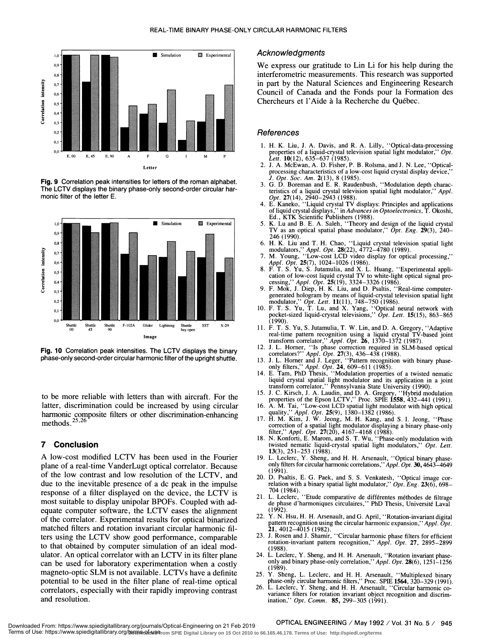

Fig. 9 Correlation peak intensities for letters of the roman alphabet. The LCTV displays the binary phase-only second-order circular harmonic filter of the letter E.



Fig. 10 Correlation peak intensities. The LCTV displays the binary 12. phase-only second-order circular harmonic filter of the upright shuttle.

to be more reliable with letters than with aircraft. For the latter, discrimination could be increased by using circular harmonic composite filters or other discrimination-enhancing and regional composite filters methods. $25,26$ 

## 7 Conclusion

A low-cost modified LCTV has been used in the Fourier plane of a real-time VanderLugt optical correlator. Because of the low contrast and low resolution of the LCTV, and due to the inevitable presence of a dc peak in the impulse response of a filter displayed on the device, the LCTV is most suitable to display unipolar BPOFs. Coupled with adequate computer software, the LCTV eases the alignment of the correlator. Experimental results for optical binarized matched filters and rotation invariant circular harmonic filters using the LCTV show good performance, comparable to that obtained by computer simulation of an ideal modulator. An optical correlator with an LCTV in its filter plane can be used for laboratory experimentation when a costly  $\frac{0 \text{ nly an}}{(1989)}$ magneto-optic SLM is not available. LCTVs have a definite  $_{25}$ potential to be used in the filter plane of real-time optical correlators, especially with their rapidly improving contrast and resolution.

#### Acknowledgments

We express our gratitude to Lin Li for his help during the interferometric measurements. This research was supported in part by the Natural Sciences and Engineering Research Council of Canada and the Fonds pour la Formation des Chercheurs et l'Aide a la Recherche du Québec.

## **References**

- 1. H. K. Liu, J. A. Davis, and R. A. Lilly, "Optical-data-processing properties of a liquid-crystal television spatial light modulator," Opt.<br>
Lett. 10(12), 635–637 (1985).<br>
2. J. A. McEwan, A. D. Fisher, P. B. Rolsma, and J. N. Lee, "Optical-
- processing characteristics of a low-cost liquid crystal display device," J. Opt. Soc. Am. 2(13), 8 (1985).
- 3. G. D. Boreman and E. R. Raudenbush, ' 'Modulation depth characteristics of a liquid crystal television spatial light modulator," Appl.
- Opt. 27(14), 2940–2943 (1988).<br>4. E. Kaneko, "Liquid crystal TV displays: Principles and applications<br>of liquid crystal displays," in Advances in Optoelectronics, T. Okoshi, Ed., KTK Scientific Publishers (1988).<br>5. K. Lu and B. E. A. Saleh, "Theory and design of the liquid crystal
- TV as an optical spatial phase modulator,''  $\tilde{O}pt$ . Eng. 29(3), 240–246 (1990).
- 246 (1990). 6. H. K. Liu and T. H. Chao, "Liquid crystal television spatial light
- modulators," *Appl. Opt.* **28**(22), 4772–4780 (1989).<br>7. M. Young, "Low-cost LCD video display for optical processing,"
- Appl. Opt. 25(7), 1024–1026 (1986).<br>8. F. T. S. Yu, S. Jutamulia, and X. L. Huang, "Experimental application of low-cost liquid crystal TV to white-light optical signal pro-<br>cessing,'' Appl. Opt. 25(19), 3324–3326 (1986).<br>9. F. Mok, J. Diep, H. K. Liu, and D. Psaltis, "Real-time computer-
- generated hologram by means of liquid-crystal television spatial light
- modulator," Opt. Lett. 11(11), 748–750 (1986).<br>10. F. T. S. Yu, T. Lu, and X. Yang, "Optical neural network with pocket-sized liquid-crystal televisions," *Opt. Lett.* **15**(15), 863–865
- $\frac{22}{2}$   $\frac{1}{2}$  (1990).<br>
X<sup>29</sup> 11. F. T. S. Yu, S. Jutamulia, T. W. Lin, and D. A. Gregory, "Adaptive real-time pattern recognition using a liquid crystal TV-based joint<br>transform correlator," *Appl. Opt.* **26**, 1370–1372 (1987).<br>12. J. L. Horner, "Is phase correction required in SLM-based optical
	-
	- correlators?" Appl. Opt. 27(3), 436–438 (1988).<br>13. L. Horner and J. Leger, "Pattern recognition with binary phase-<br>only filters," Appl. Opt. 24, 609–611 (1985).<br>14. E. Tam, PhD Thesis, "Modulation properties of a twisted
	- liquid crystal spatial light modulator and its application in a joint transform correlator,' ' Pennsylvania State University (1990). 15. J. C. Kirsch, J. A. Laudin, and D. A. Gregory, "Hybrid modulation
	- properties of the Epson LCTV," Proc. SPIE 1558, 432—441 (1991).
	- 16. A. M. Tai, "Low-cost LCD spatial light modulator with high optical quality," *Appl. Opt.* **25**(9), 1380–1382 (1986).<br>17. H. M. Kim, J. W. Jeong, M. H. Kang, and S. I. Jeong, "Phase
	- correction of a spatial light modulator displaying a binary phase-only<br>filter,'' *Appl. Opt.* 27(20), 4167–4168 (1988).<br>18. N. Konforti, E. Marom, and S. T. Wu, "Phase-only modulation with
	- twisted nematic liquid-crystal spatial light modulators," Opt. Lett.<br>13(3), 251-253 (1988).
	- 19. L. Leclerc, Y. Sheng, and H. H. Arsenault, "Optical binary phaseonly filters for circular harmonic correlations," Appl. Opt. 30, 4643-4649
	- 20. D. Psaltis, E. G. Paek, and S. S. Venkatesh, "Optical image correlation with a binary spatial light modulator,"  $Opt$ .  $Eng. 23(6)$ , 698– 704 (1984). 21 . L. Leclerc, ''Etude comparative de différentes méthodes de filtrage
	- de phase d'harmoniques circulaires, ' ' PhD Thesis, Université Laval (1992).
	- 22. Y. N. Hsu, H. H. Arsenault, and G. April, "Rotation-invariant digital pattern recognition using the circular harmonic expansion," Appl. Opt. 21, 4012-4015 (1982).
	- 23. J. Rosen and J. Shamir, ' 'Circular harmonic phase filters for efficient rotation-invariant pattem recognition," App!. Opt. 27, 2895—2899 (1988).
	- 24. L. Leclerc, Y. Sheng, and H. H. Arsenault, "Rotation invariant phaseonly and binary phase-only correlation," Appl. Opt. 28(6), 1251-1256 (1989). 25. Y. Sheng, L. Leclerc, and H. H. Arsenault, "Multiplexed binary
	- phase-only circular harmonic filters," Proc. SPIE 1564, 320—329(1991).
	- 26. L. Leclerc, Y. Sheng, and H. H. Arsenault, "Circular harmonic covariance filters for rotation invariant object recognition and discrimination," Opt. Comm. 85, 299—305 (1991).

#### OPTICAL ENGINEERING / May 1992 / Vol. 31 No. 5 / 945

Downloaded From: https://www.spiedigitallibrary.org/journals/Optical-Engineering on 21 Feb 2019<br>Terms of Use: https://www.spiedigitallibrary.org/termോളിഷേണം SPIE Digital Library on 15 Oct 2010 to 66.165.46.178. Terms of